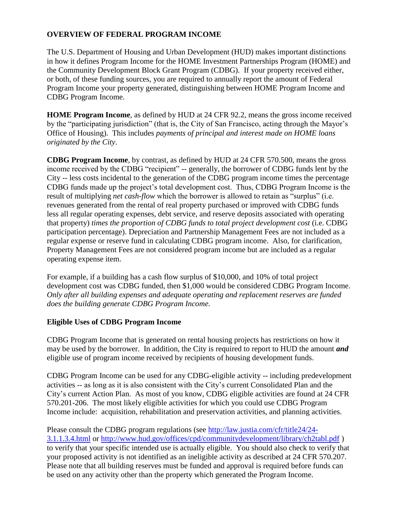## **OVERVIEW OF FEDERAL PROGRAM INCOME**

The U.S. Department of Housing and Urban Development (HUD) makes important distinctions in how it defines Program Income for the HOME Investment Partnerships Program (HOME) and the Community Development Block Grant Program (CDBG). If your property received either, or both, of these funding sources, you are required to annually report the amount of Federal Program Income your property generated, distinguishing between HOME Program Income and CDBG Program Income.

**HOME Program Income**, as defined by HUD at 24 CFR 92.2, means the gross income received by the "participating jurisdiction" (that is, the City of San Francisco, acting through the Mayor's Office of Housing). This includes *payments of principal and interest made on HOME loans originated by the City*.

**CDBG Program Income**, by contrast, as defined by HUD at 24 CFR 570.500, means the gross income received by the CDBG "recipient" -- generally, the borrower of CDBG funds lent by the City -- less costs incidental to the generation of the CDBG program income times the percentage CDBG funds made up the project's total development cost. Thus, CDBG Program Income is the result of multiplying *net cash-flow* which the borrower is allowed to retain as "surplus" (i.e. revenues generated from the rental of real property purchased or improved with CDBG funds less all regular operating expenses, debt service, and reserve deposits associated with operating that property) *times the proportion of CDBG funds to total project development cost* (i.e. CDBG participation percentage). Depreciation and Partnership Management Fees are not included as a regular expense or reserve fund in calculating CDBG program income. Also, for clarification, Property Management Fees are not considered program income but are included as a regular operating expense item.

For example, if a building has a cash flow surplus of \$10,000, and 10% of total project development cost was CDBG funded, then \$1,000 would be considered CDBG Program Income. *Only after all building expenses and adequate operating and replacement reserves are funded does the building generate CDBG Program Income.*

## **Eligible Uses of CDBG Program Income**

CDBG Program Income that is generated on rental housing projects has restrictions on how it may be used by the borrower. In addition, the City is required to report to HUD the amount *and* eligible use of program income received by recipients of housing development funds.

CDBG Program Income can be used for any CDBG-eligible activity -- including predevelopment activities -- as long as it is also consistent with the City's current Consolidated Plan and the City's current Action Plan. As most of you know, CDBG eligible activities are found at 24 CFR 570.201-206. The most likely eligible activities for which you could use CDBG Program Income include: acquisition, rehabilitation and preservation activities, and planning activities.

Please consult the CDBG program regulations (see [http://law.justia.com/cfr/title24/24-](http://law.justia.com/cfr/title24/24-3.1.1.3.4.html) [3.1.1.3.4.html](http://law.justia.com/cfr/title24/24-3.1.1.3.4.html) or<http://www.hud.gov/offices/cpd/communitydevelopment/library/ch2tabl.pdf> ) to verify that your specific intended use is actually eligible. You should also check to verify that your proposed activity is not identified as an ineligible activity as described at 24 CFR 570.207. Please note that all building reserves must be funded and approval is required before funds can be used on any activity other than the property which generated the Program Income.